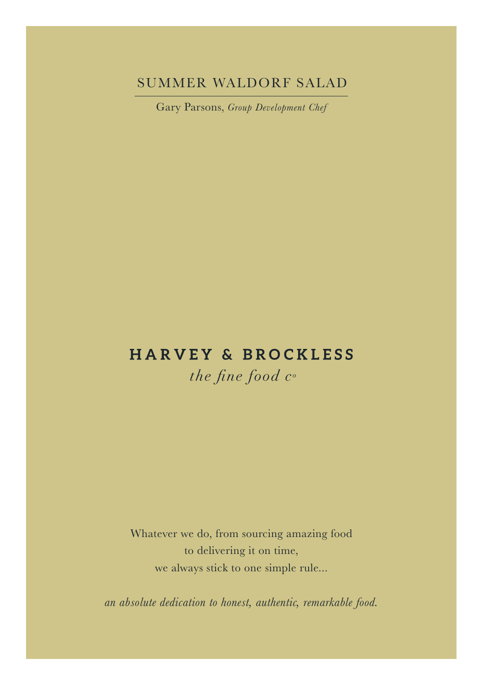## SUMMER WALDORF SALAD

Gary Parsons, *Group Development Chef*

# **HARVEY & BROCKLESS**

the fine food  $c<sup>o</sup>$ 

Whatever we do, from sourcing amazing food to delivering it on time, we always stick to one simple rule...

*an absolute dedication to honest, authentic, remarkable food.*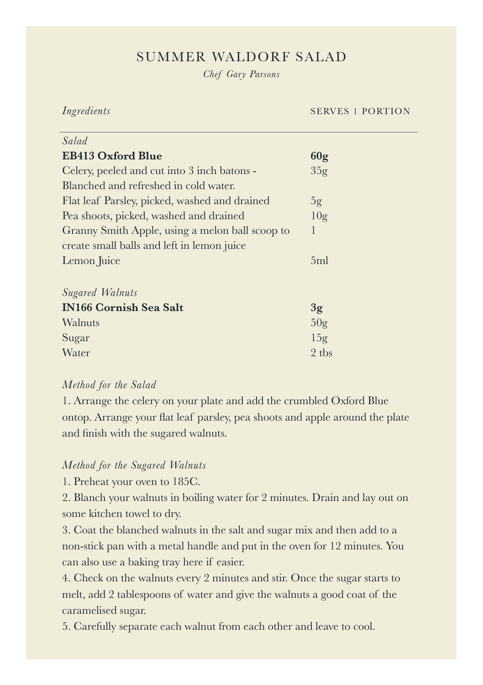## SUMMER WALDORF SALAD

*Chef Gary Parsons*

*Ingredients* SERVES 1 PORTION

| Salad                                           |                 |
|-------------------------------------------------|-----------------|
| <b>EB413 Oxford Blue</b>                        | 60g             |
| Celery, peeled and cut into 3 inch batons -     | 35g             |
| Blanched and refreshed in cold water.           |                 |
| Flat leaf Parsley, picked, washed and drained   | 5g              |
| Pea shoots, picked, washed and drained          | 10 <sub>g</sub> |
| Granny Smith Apple, using a melon ball scoop to | 1               |
| create small balls and left in lemon juice      |                 |
| Lemon Juice                                     | 5ml             |
|                                                 |                 |
| <b>Sugared Walnuts</b>                          |                 |
| <b>IN166 Cornish Sea Salt</b>                   | 3 <sub>g</sub>  |
| Walnuts                                         | 50 <sub>g</sub> |
| Sugar                                           | 15g             |
| Water                                           | 2 tbs           |

#### *Method for the Salad*

1. Arrange the celery on your plate and add the crumbled Oxford Blue ontop. Arrange your flat leaf parsley, pea shoots and apple around the plate and finish with the sugared walnuts.

#### *Method for the Sugared Walnuts*

1. Preheat your oven to 185C.

2. Blanch your walnuts in boiling water for 2 minutes. Drain and lay out on some kitchen towel to dry.

3. Coat the blanched walnuts in the salt and sugar mix and then add to a non-stick pan with a metal handle and put in the oven for 12 minutes. You can also use a baking tray here if easier.

4. Check on the walnuts every 2 minutes and stir. Once the sugar starts to melt, add 2 tablespoons of water and give the walnuts a good coat of the caramelised sugar.

5. Carefully separate each walnut from each other and leave to cool.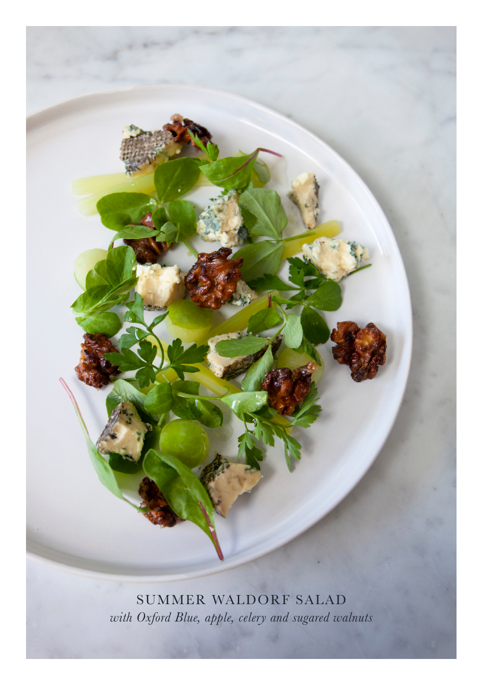SUMMER WALDORF SALAD *with Oxford Blue, apple, celery and sugared walnuts*